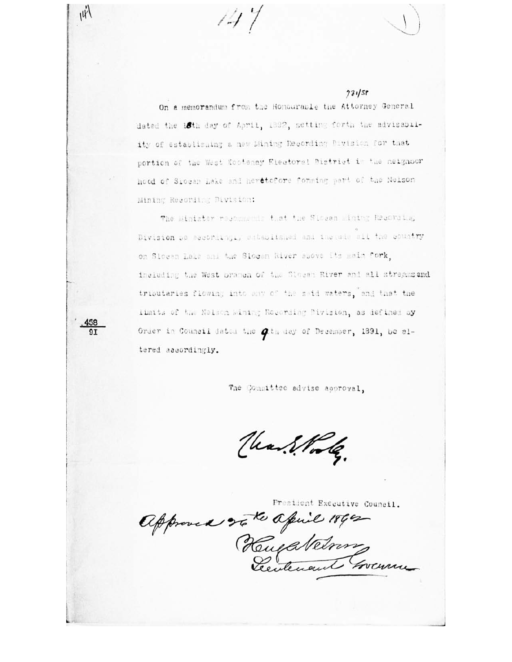$77158$ 

On a memorandum from the Honouraple the Attorney General dated the 18th day of April, 1892, setting forth the advisability of establishing a new Mining Recording Division for that portion of the West Kootenay Electoral District in the neighbor hood of Siocan Lake and heretofore forming part of the Neison Mining Recording Division:

 $147$ 

 $\hat{W}$ 

The Minister resonances that the Slogen Mining Resorcing Division pe accordingly established and inerade all the country on Siccen Lake and the Siccan River shove its main fork, including the West pramen of the Stocan River and all streams and tributaries flowing into any of the said waters, and that the limits of the Nelson Wining Recording Division, as defined by Order in Council dated the *Q*th day of December, 1891, be altered accordingly.

The Committee advise approval,

Unitodas.

President Executive Council.

approved 25 to april 1860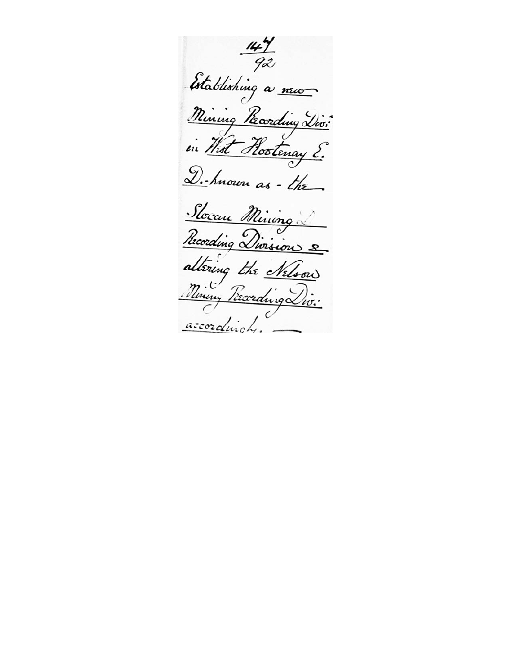$\frac{144}{92}$ Establishing a nuo Mining Pecording Divi in West Rootenay ? D.hnown as - the Slocan Mining Recording Division 2 altering the Nelson Nineny Preceding Div. accordingly